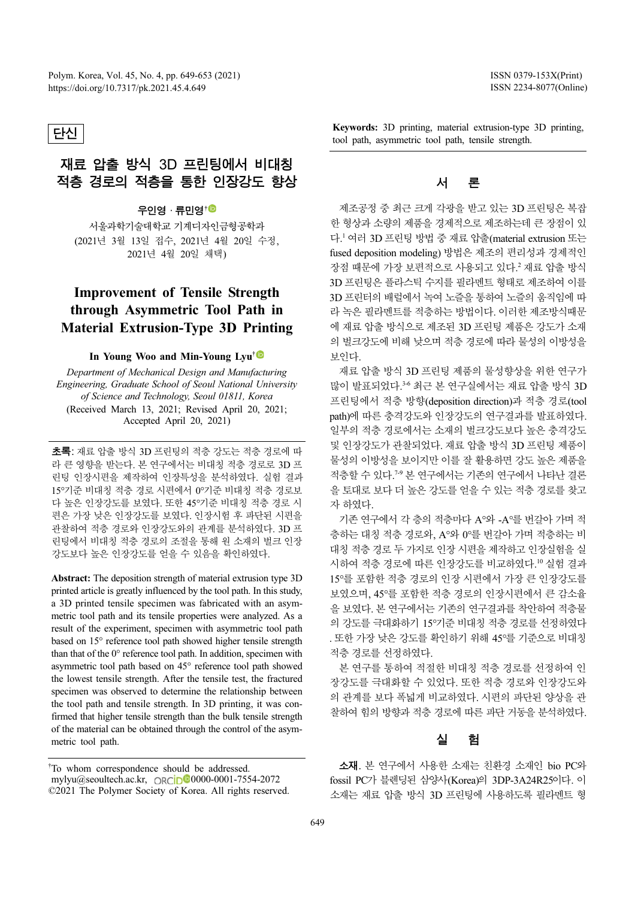### 단신

## 재료 압출 방식 3D 프린팅에서 비대칭 적층 경로의 적층을 통한 인장강도 향상

### 우인영 · 류민영†

서울과학기술대학교 기계디자인금형공학과 (2021년 3월 13일 접수, 2021년 4월 20일 수정, 2021년 4월 20일 채택)

## Improvement of Tensile Strength through Asymmetric Tool Path in Material Extrusion-Type 3D Printing

#### In Young Woo and Min-Young Lyu<sup>†</sub></sup>

Department of Mechanical Design and Manufacturing Engineering, Graduate School of Seoul National University of Science and Technology, Seoul 01811, Korea (Received March 13, 2021; Revised April 20, 2021; Accepted April 20, 2021)

초록: 재료 압출 방식 3D 프린팅의 적층 강도는 적층 경로에 따 라 큰 영향을 받는다. 본 연구에서는 비대칭 적층 경로로 3D 프 린팅 인장시편을 제작하여 인장특성을 분석하였다. 실험 결과 15°기준 비대칭 적층 경로 시편에서 0°기준 비대칭 적층 경로보 다 높은 인장강도를 보였다. 또한 45°기준 비대칭 적층 경로 시 편은 가장 낮은 인장강도를 보였다. 인장시험 후 파단된 시편을 관찰하여 적층 경로와 인장강도와의 관계를 분석하였다. 3D 프 린팅에서 비대칭 적층 경로의 조절을 통해 원 소재의 벌크 인장 강도보다 높은 인장강도를 얻을 수 있음을 확인하였다.

Abstract: The deposition strength of material extrusion type 3D printed article is greatly influenced by the tool path. In this study, a 3D printed tensile specimen was fabricated with an asymmetric tool path and its tensile properties were analyzed. As a result of the experiment, specimen with asymmetric tool path based on 15° reference tool path showed higher tensile strength than that of the 0° reference tool path. In addition, specimen with asymmetric tool path based on 45° reference tool path showed the lowest tensile strength. After the tensile test, the fractured specimen was observed to determine the relationship between the tool path and tensile strength. In 3D printing, it was confirmed that higher tensile strength than the bulk tensile strength of the material can be obtained through the control of the asymmetric tool path.

ISSN 0379-153X(Print) ISSN 2234-8077(Online)

Keywords: 3D printing, material extrusion-type 3D printing, tool path, asymmetric tool path, tensile strength.

### 서 론

제조공정 중 최근 크게 각광을 받고 있는 3D 프린팅은 복잡 한 형상과 소량의 제품을 경제적으로 제조하는데 큰 장점이 있 다. <sup>1</sup>여러 3D 프린팅방법중재료압출(material extrusion 또는 fused deposition modeling) 방법은 제조의 편리성과 경제적인 장점 때문에 가장 보편적으로 사용되고 있다. <sup>2</sup> 재료 압출 방식 3D 프린팅은 플라스틱 수지를 필라멘트 형태로 제조하여 이를 3D 프린터의 배럴에서 녹여 노즐을 통하여 노즐의 움직임에 따 라 녹은 필라멘트를 적층하는 방법이다. 이러한 제조방식때문 에 재료 압출 방식으로 제조된 3D 프린팅 제품은 강도가 소재 의 벌크강도에 비해 낮으며 적층 경로에 따라 물성의 이방성을 보인다.

재료 압출 방식 3D 프린팅 제품의 물성향상을 위한 연구가 많이 발표되었다. 3-6 최근 본 연구실에서는 재료 압출 방식 3D 프린팅에서 적층 방향(deposition direction)과 적층 경로(tool path)에 따른 충격강도와 인장강도의 연구결과를 발표하였다. 일부의 적층 경로에서는 소재의 벌크강도보다 높은 충격강도 및 인장강도가 관찰되었다. 재료 압출 방식 3D 프린팅 제품이 물성의 이방성을 보이지만 이를 잘 활용하면 강도 높은 제품을 적층할 수 있다.<sup>79</sup> 본 연구에서는 기존의 연구에서 나타난 결론 을 토대로 보다 더 높은 강도를 얻을 수 있는 적층 경로를 찾고 자 하였다.

기존 연구에서 각 층의 적층마다 A°와 -A°를 번갈아 가며 적 층하는 대칭 적층 경로와, A°와 0°를 번갈아 가며 적층하는 비 대칭 적층 경로 두 가지로 인장 시편을 제작하고 인장실험을 실 시하여 적층 경로에 따른 인장강도를 비교하였다. <sup>10</sup> 실험 결과 15°를 포함한 적층 경로의 인장 시편에서 가장 큰 인장강도를 보였으며, 45°를 포함한 적층 경로의 인장시편에서 큰 감소율 을 보였다. 본 연구에서는 기존의 연구결과를 착안하여 적층물 의 강도를 극대화하기 15°기준 비대칭 적층 경로를 선정하였다 . 또한 가장 낮은 강도를 확인하기 위해 45°를 기준으로 비대칭 적층 경로를 선정하였다.

본 연구를 통하여 적절한 비대칭 적층 경로를 선정하여 인 장강도를 극대화할 수 있었다. 또한 적층 경로와 인장강도와 의 관계를 보다 폭넓게 비교하였다. 시편의 파단된 양상을 관 찰하여 힘의 방향과 적층 경로에 따른 파단 거동을 분석하였다.

### 실 험

소재. 본 연구에서 사용한 소재는 친환경 소재인 bio PC와 fossil PC가 블렌딩된 삼양사(Korea)의 3DP-3A24R25이다. 이 소재는 재료 압출 방식 3D 프린팅에 사용하도록 필라멘트 형

<sup>†</sup> To whom correspondence should be addressed. mylyu@seoultech.ac.kr, ORCID<sup>00</sup>0000-0001-7554-2072 ©2021 The Polymer Society of Korea. All rights reserved.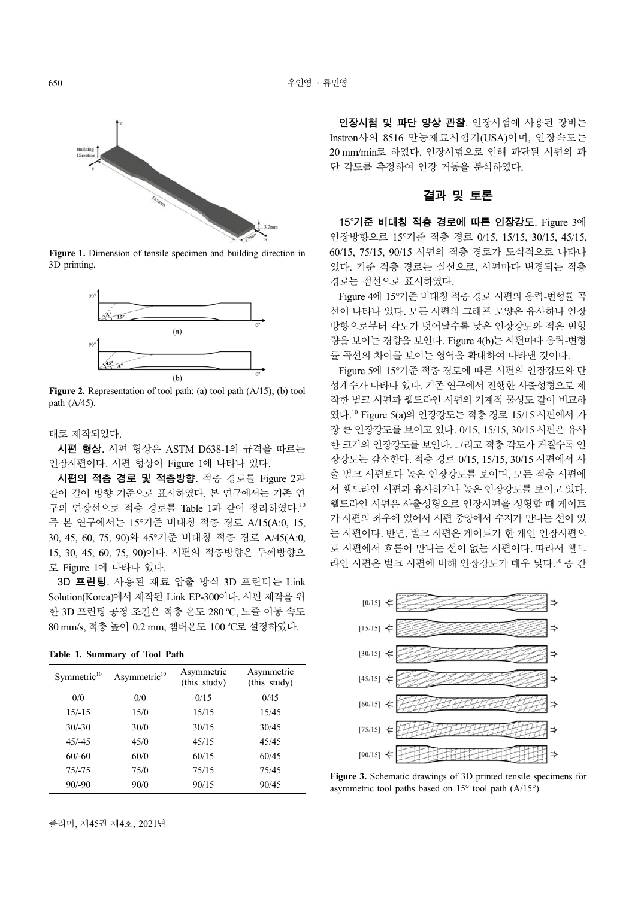

Figure 1. Dimension of tensile specimen and building direction in 3D printing.



Figure 2. Representation of tool path: (a) tool path (A/15); (b) tool path (A/45).

태로 제작되었다.

시편 형상. 시편 형상은 ASTM D638-1의 규격을 따르는 인장시편이다. 시편 형상이 Figure 1에 나타나 있다.

시편의 적층 경로 및 적층방향. 적층 경로를 Figure 2과 같이 길이 방향 기준으로 표시하였다. 본 연구에서는 기존 연 구의 연장선으로 적층 경로를 Table 1과 같이 정리하였다. 10 즉 본 연구에서는 15 °기준 비대칭 적층 경로 A/15(A:0, 15, 30, 45, 60, 75, 90)와 45°기준 비대칭 적층 경로 A/45(A:0, 15, 30, 45, 60, 75, 90)이다. 시편의 적층방향은 두께방향으 로 Figure 1에 나타나 있다.

3D 프린팅. 사용된 재료 압출 방식 3D 프린터는 Link Solution(Korea)에서 제작된 Link EP-300이다. 시편제작을 위 한 3D 프린팅 공정 조건은 적층 온도 280 ℃, 노즐 이동 속도 80 mm/s, 적층 높이 0.2 mm, 챔버온도 100 °C로 설정하였다.

Table 1. Summary of Tool Path

| Symmetric $10$ | Asymmetric <sup>10</sup> | Asymmetric<br>(this study) | Asymmetric<br>(this study) |
|----------------|--------------------------|----------------------------|----------------------------|
| 0/0            | 0/0                      | 0/15                       | 0/45                       |
| $15/-15$       | 15/0                     | 15/15                      | 15/45                      |
| $30/-30$       | 30/0                     | 30/15                      | 30/45                      |
| $45/-45$       | 45/0                     | 45/15                      | 45/45                      |
| $60/-60$       | 60/0                     | 60/15                      | 60/45                      |
| $75/-75$       | 75/0                     | 75/15                      | 75/45                      |
| $90/-90$       | 90/0                     | 90/15                      | 90/45                      |

인장시험 및 파단 양상 관찰. 인장시험에 사용된 장비는 Instron사의 8516 만능재료시험기(USA)이며, 인장속도는 20 mm/min로 하였다. 인장시험으로 인해 파단된 시편의 파 단 각도를 측정하여 인장 거동을 분석하였다.

#### 결과 및 토론

15°기준 비대칭 적층 경로에 따른 인장강도. Figure 3에 인장방향으로 15 °기준 적층 경로 0/15, 15/15, 30/15, 45/15, 60/15, 75/15, 90/15 시편의 적층 경로가 도식적으로 나타나 있다. 기준 적층 경로는 실선으로, 시편마다 변경되는 적층 경로는 점선으로 표시하였다.

Figure 4에 15°기주 비대칭 적층 경로 시편의 응력-변형률 곡 선이 나타나 있다. 모든 시편의 그래프 모양은 유사하나 인장 방향으로부터 각도가 벗어날수록 낮은 인장강도와 적은 변형 량을 보이는 경향을 보인다. Figure 4(b)는 시편마다 응력-변형 률 곡선의 차이를 보이는 영역을 확대하여 나타낸 것이다.

Figure 5에 15°기준 적층 경로에 따른 시편의 인장강도와 탄 성계수가 나타나 있다. 기존 연구에서 진행한 사출성형으로 제 작한벌크시편과웰드라인시편의기계적물성도같이비교하 였다.<sup>10</sup> Figure 5(a)의 인장강도는 적층 경로 15/15 시편에서 가 장큰인장강도를보이고있다. 0/15, 15/15, 30/15 시편은유사 한 크기의 인장강도를 보인다. 그리고 적층 각도가 커질수록 인 장강도는 감소한다. 적층 경로 0/15, 15/15, 30/15 시편에서 사 출 벌크 시편보다 높은 인장강도를 보이며, 모든 적층 시편에 서 웰드라인 시편과 유사하거나 높은 인장강도를 보이고 있다. 웰드라인 시편은 사출성형으로 인장시편을 성형할 때 게이트 가 시편의 좌우에 있어서 시편 중앙에서 수지가 만나는 선이 있 는 시편이다. 반면, 벌크 시편은 게이트가 한 개인 인장시편으 로 시편에서 흐름이 만나는 선이 없는 시편이다. 따라서 웰드 라인 시편은 벌크 시편에 비해 인장강도가 매우 낮다. <sup>10</sup> 층 간



Figure 3. Schematic drawings of 3D printed tensile specimens for asymmetric tool paths based on 15° tool path (A/15°).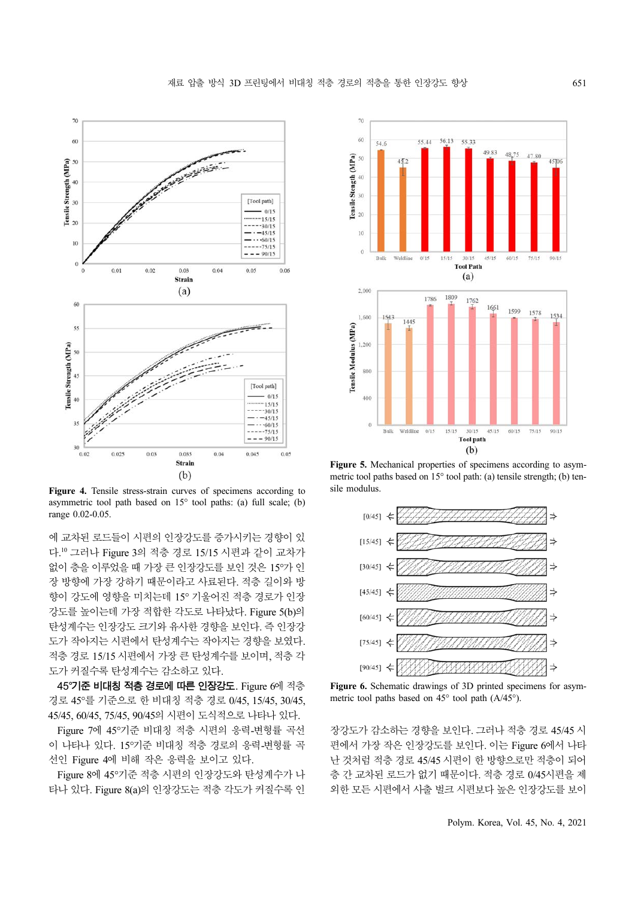

Figure 4. Tensile stress-strain curves of specimens according to asymmetric tool path based on  $15^{\circ}$  tool paths: (a) full scale; (b) range 0.02-0.05.

에 교차된 로드들이 시편의 인장강도를 증가시키는 경향이 있 다. <sup>10</sup> 그러나 Figure 3의 적층 경로 15/15 시편과 같이 교차가 없이 층을 이루었을 때 가장 큰 인장강도를 보인 것은 15°가 인 장 방향에 가장 강하기 때문이라고 사료된다. 적층 길이와 방 향이 강도에 영향을 미치는데 15° 기울어진 적층 경로가 인장 강도를 높이는데 가장 적합한 각도로 나타났다. Figure 5(b)의 탄성계수는 인장강도 크기와 유사한 경향을 보인다. 즉 인장강 도가 작아지는 시편에서 탄성계수는 작아지는 경향을 보였다. 적층 경로 15/15 시편에서 가장 큰 탄성계수를 보이며, 적층 각 도가 커질수록 탄성계수는 감소하고 있다.

45°기준 비대칭 적층 경로에 따른 인장강도. Figure 6에 적층 경로 45°를 기준으로 한 비대칭 적층 경로 0/45, 15/45, 30/45, 45/45, 60/45, 75/45, 90/45의시편이도식적으로나타나있다.

Figure 7에 45°기준 비대칭 적층 시편의 응력-변형률 곡선 이 나타나 있다. 15°기준 비대칭 적층 경로의 응력-변형률 곡 선인 Figure 4에 비해 작은 응력을 보이고 있다.

Figure 8에 45°기준 적층 시편의 인장강도와 탄성계수가 나 타나 있다. Figure 8(a)의 인장강도는 적층 각도가 커질수록 인



Figure 5. Mechanical properties of specimens according to asymmetric tool paths based on 15° tool path: (a) tensile strength; (b) tensile modulus.



Figure 6. Schematic drawings of 3D printed specimens for asymmetric tool paths based on 45° tool path (A/45°).

장강도가 감소하는 경향을 보인다. 그러나 적층 경로 45/45 시 편에서 가장 작은 인장강도를 보인다. 이는 Figure 6에서 나타 난 것처럼 적층 경로 45/45 시편이 한 방향으로만 적층이 되어 층 간 교차된 로드가 없기 때문이다. 적층 경로 0/45시편을 제 외한 모든 시편에서 사출 벌크 시편보다 높은 인장강도를 보이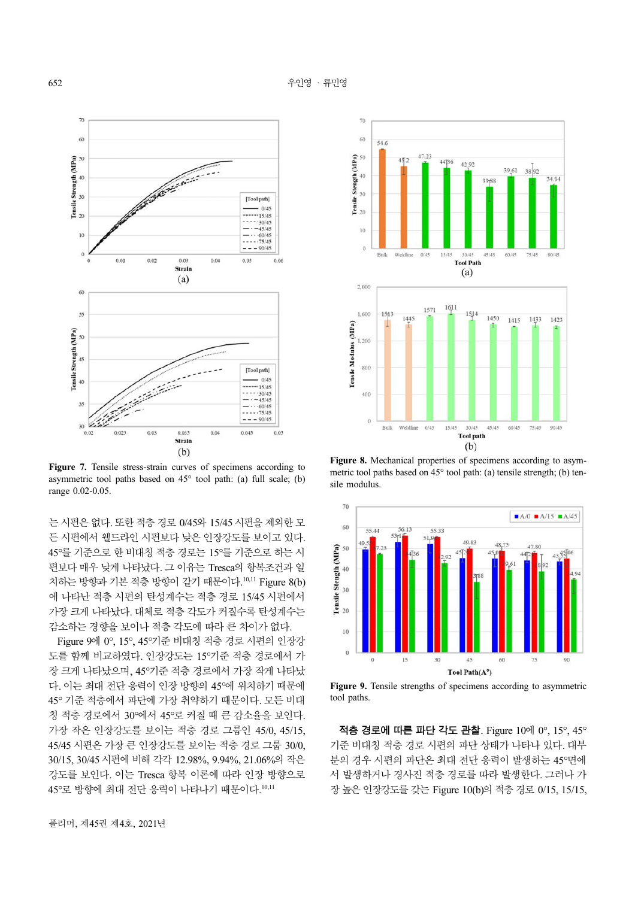

Figure 7. Tensile stress-strain curves of specimens according to asymmetric tool paths based on 45° tool path: (a) full scale; (b) range 0.02-0.05.

는시편은없다. 또한적층경로 0/45와 15/45 시편을제외한모 든 시편에서 웰드라인 시편보다 낮은 인장강도를 보이고 있다. 45°를기준으로한비대칭적층경로는 15°를기준으로하는시 편보다 매우 낮게 나타났다. 그 이유는 Tresca의 항복조건과 일 치하는 방향과 기본 적층 방향이 같기 때문이다. 10,11 Figure 8(b) 에 나타난 적층 시편의 탄성계수는 적층 경로 15/45 시편에서 가장 크게 나타났다. 대체로 적층 각도가 커질수록 탄성계수는 감소하는 경향을 보이나 적층 각도에 따라 큰 차이가 없다.

Figure 9에 0°, 15°, 45°기준 비대칭 적층 경로 시편의 인장강 도를 함께 비교하였다. 인장강도는 15°기준 적층 경로에서 가 장 크게 나타났으며, 45°기준 적층 경로에서 가장 작게 나타났 다. 이는 최대 전단 응력이 인장 방향의 45°에 위치하기 때문에 45° 기준 적층에서 파단에 가장 취약하기 때문이다. 모든 비대 칭 적층 경로에서 30°에서 45°로 커질 때 큰 감소율을 보인다. 가장 작은 인장강도를 보이는 적층 경로 그룹인 45/0, 45/15, 45/45 시편은 가장 큰 인장강도를 보이는 적층 경로 그룹 30/0, 30/15, 30/45 시편에 비해 각각 12.98%, 9.94%, 21.06%의 작은 강도를 보인다. 이는 Tresca 항복 이론에 따라 인장 방향으로 45°로 방향에 최대 전단 응력이 나타나기 때문이다. 10,11



Figure 8. Mechanical properties of specimens according to asymmetric tool paths based on 45° tool path: (a) tensile strength; (b) tensile modulus.



Figure 9. Tensile strengths of specimens according to asymmetric tool paths.

적층 경로에 따른 파단 각도 관찰. Figure 10에 0°, 15°, 45° 기준 비대칭 적층 경로 시편의 파단 상태가 나타나 있다. 대부 분의 경우 시편의 파단은 최대 전단 응력이 발생하는 45°면에 서 발생하거나 경사진 적층 경로를 따라 발생한다. 그러나 가 장 높은 인장강도를 갖는 Figure 10(b)의 적층 경로 0/15, 15/15,